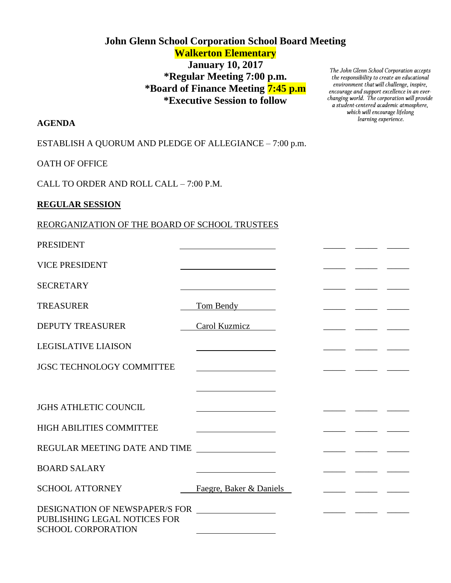# **John Glenn School Corporation School Board Meeting Walkerton Elementary**

# **January 10, 2017 \*Regular Meeting 7:00 p.m. \*Board of Finance Meeting 7:45 p.m \*Executive Session to follow**

The John Glenn School Corporation accepts<br>the responsibility to create an educational environment that will challenge, inspire, encourage and support excellence in an everchanging world. The corporation will provide a student-centered academic atmosphere, which will encourage lifelong learning experience.

### **AGENDA**

ESTABLISH A QUORUM AND PLEDGE OF ALLEGIANCE – 7:00 p.m.

OATH OF OFFICE

CALL TO ORDER AND ROLL CALL – 7:00 P.M.

### **REGULAR SESSION**

# REORGANIZATION OF THE BOARD OF SCHOOL TRUSTEES

| <b>PRESIDENT</b>                                                                 |                                         |  |                                                                                                                               |  |
|----------------------------------------------------------------------------------|-----------------------------------------|--|-------------------------------------------------------------------------------------------------------------------------------|--|
| <b>VICE PRESIDENT</b>                                                            |                                         |  |                                                                                                                               |  |
| <b>SECRETARY</b>                                                                 |                                         |  |                                                                                                                               |  |
| <b>TREASURER</b>                                                                 | Tom Bendy                               |  |                                                                                                                               |  |
| <b>DEPUTY TREASURER</b>                                                          | Carol Kuzmicz                           |  |                                                                                                                               |  |
| <b>LEGISLATIVE LIAISON</b>                                                       | <u> 1989 - Johann Barbara, martin a</u> |  |                                                                                                                               |  |
| <b>JGSC TECHNOLOGY COMMITTEE</b>                                                 |                                         |  |                                                                                                                               |  |
|                                                                                  |                                         |  |                                                                                                                               |  |
| <b>JGHS ATHLETIC COUNCIL</b>                                                     |                                         |  |                                                                                                                               |  |
| <b>HIGH ABILITIES COMMITTEE</b>                                                  |                                         |  |                                                                                                                               |  |
| REGULAR MEETING DATE AND TIME                                                    |                                         |  |                                                                                                                               |  |
| <b>BOARD SALARY</b>                                                              |                                         |  |                                                                                                                               |  |
| <b>SCHOOL ATTORNEY</b>                                                           | Faegre, Baker & Daniels                 |  | <u> 1989 - Johann John Stone, mars et al. 1989 - John Stone, mars et al. 1989 - John Stone, mars et al. 1989 - John Stone</u> |  |
| DESIGNATION OF NEWSPAPER/S FOR _________________<br>PUBLISHING LEGAL NOTICES FOR |                                         |  |                                                                                                                               |  |
| <b>SCHOOL CORPORATION</b>                                                        |                                         |  |                                                                                                                               |  |